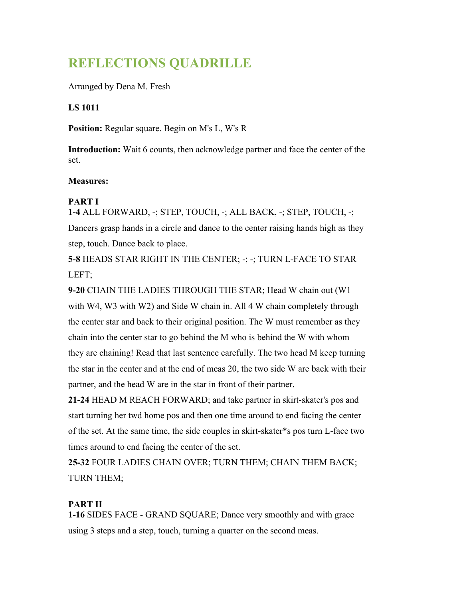# **REFLECTIONS QUADRILLE**

Arranged by Dena M. Fresh

### **LS 1011**

**Position:** Regular square. Begin on M's L, W's R

**Introduction:** Wait 6 counts, then acknowledge partner and face the center of the set.

#### **Measures:**

### **PART I**

**1-4** ALL FORWARD, -; STEP, TOUCH, -; ALL BACK, -; STEP, TOUCH, -; Dancers grasp hands in a circle and dance to the center raising hands high as they step, touch. Dance back to place.

**5-8** HEADS STAR RIGHT IN THE CENTER; -; -; TURN L-FACE TO STAR LEFT;

**9-20** CHAIN THE LADIES THROUGH THE STAR; Head W chain out (W1 with W4, W3 with W2) and Side W chain in. All 4 W chain completely through the center star and back to their original position. The W must remember as they chain into the center star to go behind the M who is behind the W with whom they are chaining! Read that last sentence carefully. The two head M keep turning the star in the center and at the end of meas 20, the two side W are back with their partner, and the head W are in the star in front of their partner.

**21-24** HEAD M REACH FORWARD; and take partner in skirt-skater's pos and start turning her twd home pos and then one time around to end facing the center of the set. At the same time, the side couples in skirt-skater\*s pos turn L-face two times around to end facing the center of the set.

**25-32** FOUR LADIES CHAIN OVER; TURN THEM; CHAIN THEM BACK; TURN THEM;

## **PART II**

**1-16** SIDES FACE - GRAND SQUARE; Dance very smoothly and with grace using 3 steps and a step, touch, turning a quarter on the second meas.